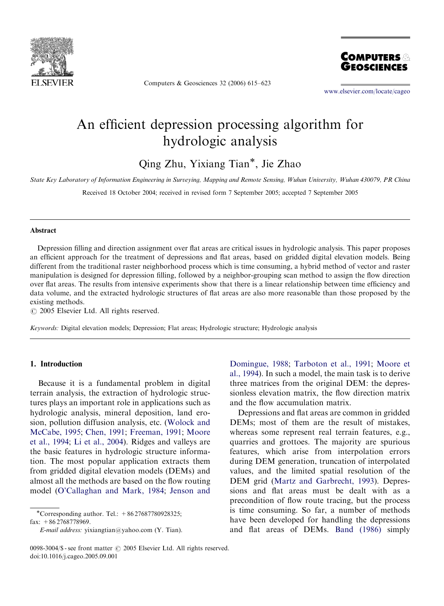

Computers & Geosciences 32 (2006) 615–623



<www.elsevier.com/locate/cageo>

# An efficient depression processing algorithm for hydrologic analysis

Qing Zhu, Yixiang Tian\*, Jie Zhao

State Key Laboratory of Information Engineering in Surveying, Mapping and Remote Sensing, Wuhan University, Wuhan 430079, PR China

Received 18 October 2004; received in revised form 7 September 2005; accepted 7 September 2005

#### Abstract

Depression filling and direction assignment over flat areas are critical issues in hydrologic analysis. This paper proposes an efficient approach for the treatment of depressions and flat areas, based on gridded digital elevation models. Being different from the traditional raster neighborhood process which is time consuming, a hybrid method of vector and raster manipulation is designed for depression filling, followed by a neighbor-grouping scan method to assign the flow direction over flat areas. The results from intensive experiments show that there is a linear relationship between time efficiency and data volume, and the extracted hydrologic structures of flat areas are also more reasonable than those proposed by the existing methods.

 $\odot$  2005 Elsevier Ltd. All rights reserved.

Keywords: Digital elevation models; Depression; Flat areas; Hydrologic structure; Hydrologic analysis

## 1. Introduction

Because it is a fundamental problem in digital terrain analysis, the extraction of hydrologic structures plays an important role in applications such as hydrologic analysis, mineral deposition, land erosion, pollution diffusion analysis, etc. [\(Wolock and](#page-8-0) [McCabe, 1995;](#page-8-0) [Chen, 1991](#page-7-0); [Freeman, 1991](#page-7-0); [Moore](#page-7-0) [et al., 1994;](#page-7-0) [Li et al., 2004](#page-7-0)). Ridges and valleys are the basic features in hydrologic structure information. The most popular application extracts them from gridded digital elevation models (DEMs) and almost all the methods are based on the flow routing model ([O'Callaghan and Mark, 1984](#page-8-0); [Jenson and](#page-7-0)

Corresponding author. Tel.: +86 27687780928325; fax: +86 2768778969.

E-mail address: yixiangtian@yahoo.com (Y. Tian).

[Domingue, 1988;](#page-7-0) [Tarboton et al., 1991](#page-8-0); [Moore et](#page-7-0) [al., 1994](#page-7-0)). In such a model, the main task is to derive three matrices from the original DEM: the depressionless elevation matrix, the flow direction matrix and the flow accumulation matrix.

Depressions and flat areas are common in gridded DEMs; most of them are the result of mistakes, whereas some represent real terrain features, e.g., quarries and grottoes. The majority are spurious features, which arise from interpolation errors during DEM generation, truncation of interpolated values, and the limited spatial resolution of the DEM grid [\(Martz and Garbrecht, 1993\)](#page-7-0). Depressions and flat areas must be dealt with as a precondition of flow route tracing, but the process is time consuming. So far, a number of methods have been developed for handling the depressions and flat areas of DEMs. [Band \(1986\)](#page-7-0) simply

<sup>0098-3004/\$ -</sup> see front matter  $\odot$  2005 Elsevier Ltd. All rights reserved. doi:10.1016/j.cageo.2005.09.001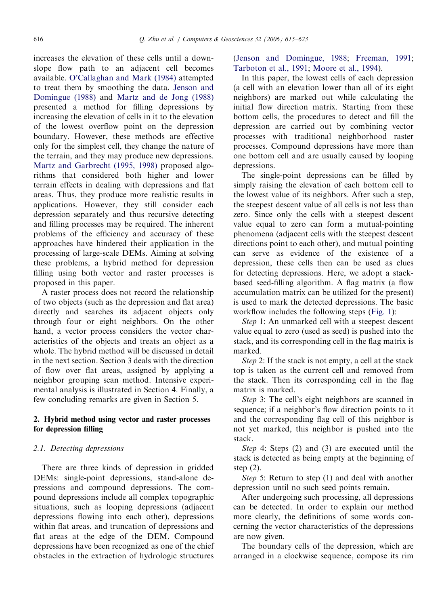increases the elevation of these cells until a downslope flow path to an adjacent cell becomes available. [O'Callaghan and Mark \(1984\)](#page-8-0) attempted to treat them by smoothing the data. [Jenson and](#page-7-0) [Domingue \(1988\)](#page-7-0) and [Martz and de Jong \(1988\)](#page-7-0) presented a method for filling depressions by increasing the elevation of cells in it to the elevation of the lowest overflow point on the depression boundary. However, these methods are effective only for the simplest cell, they change the nature of the terrain, and they may produce new depressions. [Martz and Garbrecht \(1995, 1998\)](#page-7-0) proposed algorithms that considered both higher and lower terrain effects in dealing with depressions and flat areas. Thus, they produce more realistic results in applications. However, they still consider each depression separately and thus recursive detecting and filling processes may be required. The inherent problems of the efficiency and accuracy of these approaches have hindered their application in the processing of large-scale DEMs. Aiming at solving these problems, a hybrid method for depression filling using both vector and raster processes is proposed in this paper.

A raster process does not record the relationship of two objects (such as the depression and flat area) directly and searches its adjacent objects only through four or eight neighbors. On the other hand, a vector process considers the vector characteristics of the objects and treats an object as a whole. The hybrid method will be discussed in detail in the next section. Section 3 deals with the direction of flow over flat areas, assigned by applying a neighbor grouping scan method. Intensive experimental analysis is illustrated in Section 4. Finally, a few concluding remarks are given in Section 5.

# 2. Hybrid method using vector and raster processes for depression filling

## 2.1. Detecting depressions

There are three kinds of depression in gridded DEMs: single-point depressions, stand-alone depressions and compound depressions. The compound depressions include all complex topographic situations, such as looping depressions (adjacent depressions flowing into each other), depressions within flat areas, and truncation of depressions and flat areas at the edge of the DEM. Compound depressions have been recognized as one of the chief obstacles in the extraction of hydrologic structures

([Jenson and Domingue, 1988;](#page-7-0) [Freeman, 1991;](#page-7-0) [Tarboton et al., 1991;](#page-8-0) [Moore et al., 1994\)](#page-7-0).

In this paper, the lowest cells of each depression (a cell with an elevation lower than all of its eight neighbors) are marked out while calculating the initial flow direction matrix. Starting from these bottom cells, the procedures to detect and fill the depression are carried out by combining vector processes with traditional neighborhood raster processes. Compound depressions have more than one bottom cell and are usually caused by looping depressions.

The single-point depressions can be filled by simply raising the elevation of each bottom cell to the lowest value of its neighbors. After such a step, the steepest descent value of all cells is not less than zero. Since only the cells with a steepest descent value equal to zero can form a mutual-pointing phenomena (adjacent cells with the steepest descent directions point to each other), and mutual pointing can serve as evidence of the existence of a depression, these cells then can be used as clues for detecting depressions. Here, we adopt a stackbased seed-filling algorithm. A flag matrix (a flow accumulation matrix can be utilized for the present) is used to mark the detected depressions. The basic workflow includes the following steps [\(Fig. 1\)](#page-2-0):

Step 1: An unmarked cell with a steepest descent value equal to zero (used as seed) is pushed into the stack, and its corresponding cell in the flag matrix is marked.

Step 2: If the stack is not empty, a cell at the stack top is taken as the current cell and removed from the stack. Then its corresponding cell in the flag matrix is marked.

Step 3: The cell's eight neighbors are scanned in sequence; if a neighbor's flow direction points to it and the corresponding flag cell of this neighbor is not yet marked, this neighbor is pushed into the stack.

Step 4: Steps (2) and (3) are executed until the stack is detected as being empty at the beginning of step (2).

Step 5: Return to step (1) and deal with another depression until no such seed points remain.

After undergoing such processing, all depressions can be detected. In order to explain our method more clearly, the definitions of some words concerning the vector characteristics of the depressions are now given.

The boundary cells of the depression, which are arranged in a clockwise sequence, compose its rim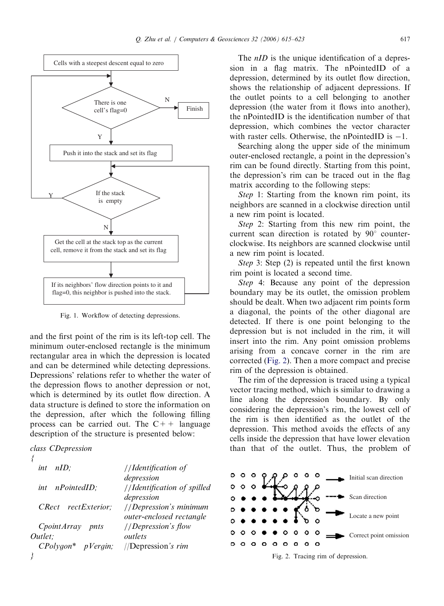<span id="page-2-0"></span>

Fig. 1. Workflow of detecting depressions.

and the first point of the rim is its left-top cell. The minimum outer-enclosed rectangle is the minimum rectangular area in which the depression is located and can be determined while detecting depressions. Depressions' relations refer to whether the water of the depression flows to another depression or not, which is determined by its outlet flow direction. A data structure is defined to store the information on the depression, after which the following filling process can be carried out. The  $C++$  language description of the structure is presented below:

```
class CDepression
```

| $nID$ :<br>int       | //Identification of         |
|----------------------|-----------------------------|
|                      | depression                  |
| int nPointedID;      | //Identification of spilled |
|                      | depression                  |
| CRect rectExterior:  | //Depression's minimum      |
|                      | outer-enclosed rectangle    |
| CpointArray pnts     | //Depression's flow         |
| Outlet:              | outlets                     |
| $CPolyqon*$ pVergin; | //Depression's $rim$        |
|                      |                             |

The *nID* is the unique identification of a depression in a flag matrix. The nPointedID of a depression, determined by its outlet flow direction, shows the relationship of adjacent depressions. If the outlet points to a cell belonging to another depression (the water from it flows into another), the nPointedID is the identification number of that depression, which combines the vector character with raster cells. Otherwise, the nPointedID is  $-1$ .

Searching along the upper side of the minimum outer-enclosed rectangle, a point in the depression's rim can be found directly. Starting from this point, the depression's rim can be traced out in the flag matrix according to the following steps:

Step 1: Starting from the known rim point, its neighbors are scanned in a clockwise direction until a new rim point is located.

Step 2: Starting from this new rim point, the current scan direction is rotated by  $90^\circ$  counterclockwise. Its neighbors are scanned clockwise until a new rim point is located.

Step 3: Step (2) is repeated until the first known rim point is located a second time.

Step 4: Because any point of the depression boundary may be its outlet, the omission problem should be dealt. When two adjacent rim points form a diagonal, the points of the other diagonal are detected. If there is one point belonging to the depression but is not included in the rim, it will insert into the rim. Any point omission problems arising from a concave corner in the rim are corrected (Fig. 2). Then a more compact and precise rim of the depression is obtained.

The rim of the depression is traced using a typical vector tracing method, which is similar to drawing a line along the depression boundary. By only considering the depression's rim, the lowest cell of the rim is then identified as the outlet of the depression. This method avoids the effects of any cells inside the depression that have lower elevation than that of the outlet. Thus, the problem of



Fig. 2. Tracing rim of depression.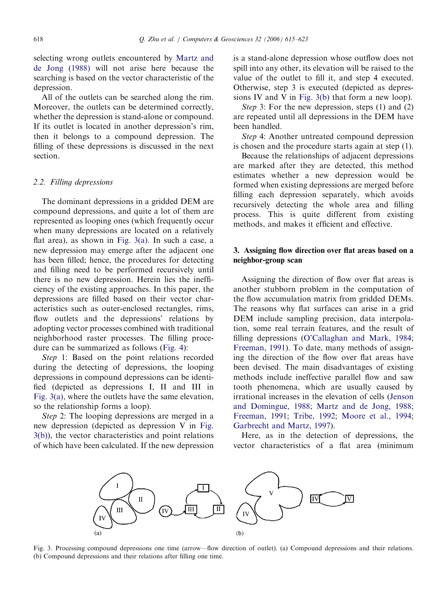selecting wrong outlets encountered by [Martz and](#page-7-0) [de Jong \(1988\)](#page-7-0) will not arise here because the searching is based on the vector characteristic of the depression.

All of the outlets can be searched along the rim. Moreover, the outlets can be determined correctly, whether the depression is stand-alone or compound. If its outlet is located in another depression's rim, then it belongs to a compound depression. The filling of these depressions is discussed in the next section.

#### 2.2. Filling depressions

The dominant depressions in a gridded DEM are compound depressions, and quite a lot of them are represented as looping ones (which frequently occur when many depressions are located on a relatively flat area), as shown in Fig. 3(a). In such a case, a new depression may emerge after the adjacent one has been filled; hence, the procedures for detecting and filling need to be performed recursively until there is no new depression. Herein lies the inefficiency of the existing approaches. In this paper, the depressions are filled based on their vector characteristics such as outer-enclosed rectangles, rims, flow outlets and the depressions' relations by adopting vector processes combined with traditional neighborhood raster processes. The filling procedure can be summarized as follows ([Fig. 4\)](#page-4-0):

Step 1: Based on the point relations recorded during the detecting of depressions, the looping depressions in compound depressions can be identified (depicted as depressions I, II and III in Fig. 3(a), where the outlets have the same elevation, so the relationship forms a loop).

Step 2: The looping depressions are merged in a new depression (depicted as depression V in Fig. 3(b)), the vector characteristics and point relations of which have been calculated. If the new depression

is a stand-alone depression whose outflow does not spill into any other, its elevation will be raised to the value of the outlet to fill it, and step 4 executed. Otherwise, step 3 is executed (depicted as depressions IV and V in Fig. 3(b) that form a new loop).

Step 3: For the new depression, steps (1) and (2) are repeated until all depressions in the DEM have been handled.

Step 4: Another untreated compound depression is chosen and the procedure starts again at step (1).

Because the relationships of adjacent depressions are marked after they are detected, this method estimates whether a new depression would be formed when existing depressions are merged before filling each depression separately, which avoids recursively detecting the whole area and filling process. This is quite different from existing methods, and makes it efficient and effective.

# 3. Assigning flow direction over flat areas based on a neighbor-group scan

Assigning the direction of flow over flat areas is another stubborn problem in the computation of the flow accumulation matrix from gridded DEMs. The reasons why flat surfaces can arise in a grid DEM include sampling precision, data interpolation, some real terrain features, and the result of filling depressions ([O'Callaghan and Mark, 1984;](#page-8-0) [Freeman, 1991](#page-7-0)). To date, many methods of assigning the direction of the flow over flat areas have been devised. The main disadvantages of existing methods include ineffective parallel flow and saw tooth phenomena, which are usually caused by irrational increases in the elevation of cells [\(Jenson](#page-7-0) [and Domingue, 1988](#page-7-0); [Martz and de Jong, 1988;](#page-7-0) [Freeman, 1991](#page-7-0); [Tribe, 1992](#page-8-0); [Moore et al., 1994;](#page-7-0) [Garbrecht and Martz, 1997](#page-7-0)).

Here, as in the detection of depressions, the vector characteristics of a flat area (minimum



Fig. 3. Processing compound depressions one time (arrow—flow direction of outlet). (a) Compound depressions and their relations. (b) Compound depressions and their relations after filling one time.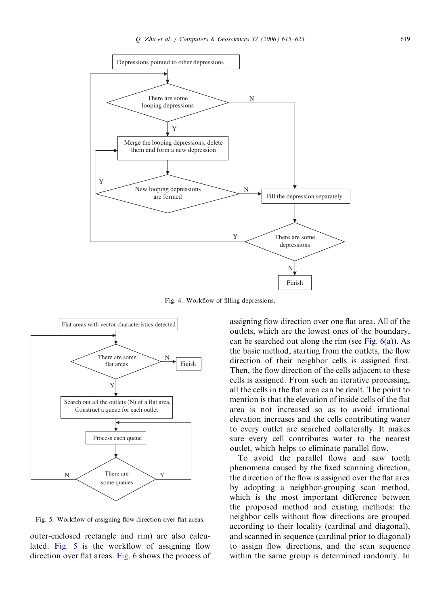<span id="page-4-0"></span>

Fig. 4. Workflow of filling depressions.



Fig. 5. Workflow of assigning flow direction over flat areas.

outer-enclosed rectangle and rim) are also calculated. Fig. 5 is the workflow of assigning flow direction over flat areas. [Fig. 6](#page-5-0) shows the process of assigning flow direction over one flat area. All of the outlets, which are the lowest ones of the boundary, can be searched out along the rim (see Fig.  $6(a)$ ). As the basic method, starting from the outlets, the flow direction of their neighbor cells is assigned first. Then, the flow direction of the cells adjacent to these cells is assigned. From such an iterative processing, all the cells in the flat area can be dealt. The point to mention is that the elevation of inside cells of the flat area is not increased so as to avoid irrational elevation increases and the cells contributing water to every outlet are searched collaterally. It makes sure every cell contributes water to the nearest outlet, which helps to eliminate parallel flow.

To avoid the parallel flows and saw tooth phenomena caused by the fixed scanning direction, the direction of the flow is assigned over the flat area by adopting a neighbor-grouping scan method, which is the most important difference between the proposed method and existing methods: the neighbor cells without flow directions are grouped according to their locality (cardinal and diagonal), and scanned in sequence (cardinal prior to diagonal) to assign flow directions, and the scan sequence within the same group is determined randomly. In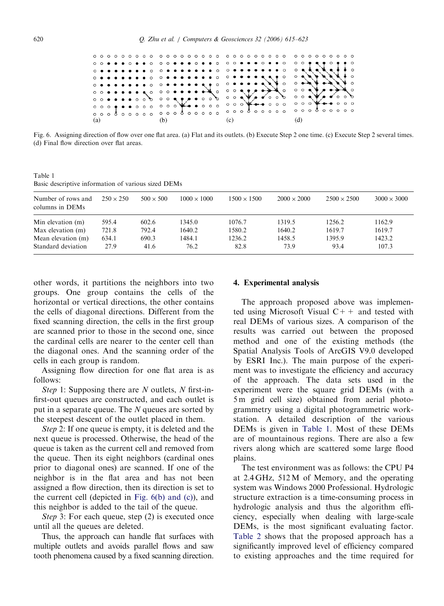<span id="page-5-0"></span>

Fig. 6. Assigning direction of flow over one flat area. (a) Flat and its outlets. (b) Execute Step 2 one time. (c) Execute Step 2 several times. (d) Final flow direction over flat areas.

Table 1 Basic descriptive information of various sized DEMs

| Number of rows and<br>columns in DEMs | $250 \times 250$ | $500 \times 500$ | $1000 \times 1000$ | $1500 \times 1500$ | $2000 \times 2000$ | $2500 \times 2500$ | $3000 \times 3000$ |
|---------------------------------------|------------------|------------------|--------------------|--------------------|--------------------|--------------------|--------------------|
| Min elevation (m)                     | 595.4            | 602.6            | 1345.0             | 1076.7             | 1319.5             | 1256.2             | 1162.9             |
| Max elevation (m)                     | 721.8            | 792.4            | 1640.2             | 1580.2             | 1640.2             | 1619.7             | 1619.7             |
| Mean elevation (m)                    | 634.1            | 690.3            | 1484.1             | 1236.2             | 1458.5             | 1395.9             | 1423.2             |
| Standard deviation                    | 27.9             | 41.6             | 76.2               | 82.8               | 73.9               | 93.4               | 107.3              |

other words, it partitions the neighbors into two groups. One group contains the cells of the horizontal or vertical directions, the other contains the cells of diagonal directions. Different from the fixed scanning direction, the cells in the first group are scanned prior to those in the second one, since the cardinal cells are nearer to the center cell than the diagonal ones. And the scanning order of the cells in each group is random.

Assigning flow direction for one flat area is as follows:

Step 1: Supposing there are  $N$  outlets,  $N$  first-infirst-out queues are constructed, and each outlet is put in a separate queue. The N queues are sorted by the steepest descent of the outlet placed in them.

Step 2: If one queue is empty, it is deleted and the next queue is processed. Otherwise, the head of the queue is taken as the current cell and removed from the queue. Then its eight neighbors (cardinal ones prior to diagonal ones) are scanned. If one of the neighbor is in the flat area and has not been assigned a flow direction, then its direction is set to the current cell (depicted in Fig. 6(b) and (c)), and this neighbor is added to the tail of the queue.

Step 3: For each queue, step (2) is executed once until all the queues are deleted.

Thus, the approach can handle flat surfaces with multiple outlets and avoids parallel flows and saw tooth phenomena caused by a fixed scanning direction.

## 4. Experimental analysis

The approach proposed above was implemented using Microsoft Visual  $C++$  and tested with real DEMs of various sizes. A comparison of the results was carried out between the proposed method and one of the existing methods (the Spatial Analysis Tools of ArcGIS V9.0 developed by ESRI Inc.). The main purpose of the experiment was to investigate the efficiency and accuracy of the approach. The data sets used in the experiment were the square grid DEMs (with a 5 m grid cell size) obtained from aerial photogrammetry using a digital photogrammetric workstation. A detailed description of the various DEMs is given in Table 1. Most of these DEMs are of mountainous regions. There are also a few rivers along which are scattered some large flood plains.

The test environment was as follows: the CPU P4 at 2.4 GHz, 512 M of Memory, and the operating system was Windows 2000 Professional. Hydrologic structure extraction is a time-consuming process in hydrologic analysis and thus the algorithm efficiency, especially when dealing with large-scale DEMs, is the most significant evaluating factor. [Table 2](#page-6-0) shows that the proposed approach has a significantly improved level of efficiency compared to existing approaches and the time required for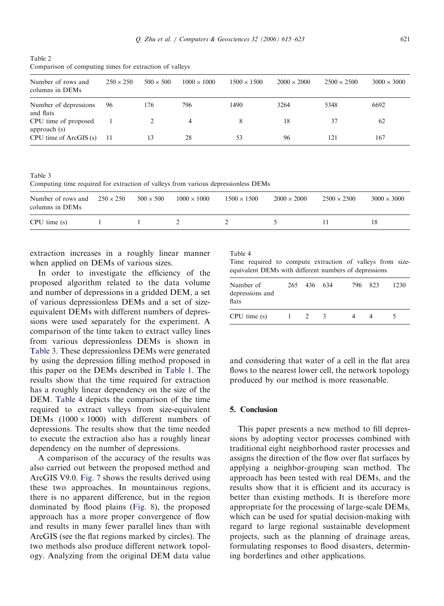<span id="page-6-0"></span>Table 2 Comparison of computing times for extraction of valleys

| Number of rows and<br>columns in DEMs | $250 \times 250$ | $500 \times 500$ | $1000 \times 1000$ | $1500 \times 1500$ | $2000 \times 2000$ | $2500 \times 2500$ | $3000 \times 3000$ |
|---------------------------------------|------------------|------------------|--------------------|--------------------|--------------------|--------------------|--------------------|
| Number of depressions<br>and flats    | 96               | 176              | 796                | 1490               | 3264               | 5348               | 6692               |
| CPU time of proposed<br>approach (s)  |                  |                  | 4                  | 8                  | 18                 | 37                 | 62                 |
| CPU time of ArcGIS (s)                | 11               | 13               | 28                 | 53                 | 96                 | 121                | 167                |

Table 3 Computing time required for extraction of valleys from various depressionless DEMs

| Number of rows and<br>columns in DEMs | $250 \times 250$ | $500 \times 500$ | $1000 \times 1000$ | $1500 \times 1500$ | $2000 \times 2000$ | $2500 \times 2500$ | $3000 \times 3000$ |
|---------------------------------------|------------------|------------------|--------------------|--------------------|--------------------|--------------------|--------------------|
| $CPU$ time $(s)$                      |                  |                  |                    |                    |                    |                    | 18                 |

extraction increases in a roughly linear manner when applied on DEMs of various sizes.

In order to investigate the efficiency of the proposed algorithm related to the data volume and number of depressions in a gridded DEM, a set of various depressionless DEMs and a set of sizeequivalent DEMs with different numbers of depressions were used separately for the experiment. A comparison of the time taken to extract valley lines from various depressionless DEMs is shown in Table 3. These depressionless DEMs were generated by using the depression filling method proposed in this paper on the DEMs described in [Table 1](#page-5-0). The results show that the time required for extraction has a roughly linear dependency on the size of the DEM. Table 4 depicts the comparison of the time required to extract valleys from size-equivalent DEMs  $(1000 \times 1000)$  with different numbers of depressions. The results show that the time needed to execute the extraction also has a roughly linear dependency on the number of depressions.

A comparison of the accuracy of the results was also carried out between the proposed method and ArcGIS V9.0. [Fig. 7](#page-7-0) shows the results derived using these two approaches. In mountainous regions, there is no apparent difference, but in the region dominated by flood plains ([Fig. 8\)](#page-7-0), the proposed approach has a more proper convergence of flow and results in many fewer parallel lines than with ArcGIS (see the flat regions marked by circles). The two methods also produce different network topology. Analyzing from the original DEM data value

Table 4

Time required to compute extraction of valleys from sizeequivalent DEMs with different numbers of depressions

| Number of<br>depressions and<br>flats | 265 | 436 634 |   | 796 | 823 | 1230 |
|---------------------------------------|-----|---------|---|-----|-----|------|
| $CPU$ time $(s)$                      |     |         | 3 |     |     |      |

and considering that water of a cell in the flat area flows to the nearest lower cell, the network topology produced by our method is more reasonable.

## 5. Conclusion

This paper presents a new method to fill depressions by adopting vector processes combined with traditional eight neighborhood raster processes and assigns the direction of the flow over flat surfaces by applying a neighbor-grouping scan method. The approach has been tested with real DEMs, and the results show that it is efficient and its accuracy is better than existing methods. It is therefore more appropriate for the processing of large-scale DEMs, which can be used for spatial decision-making with regard to large regional sustainable development projects, such as the planning of drainage areas, formulating responses to flood disasters, determining borderlines and other applications.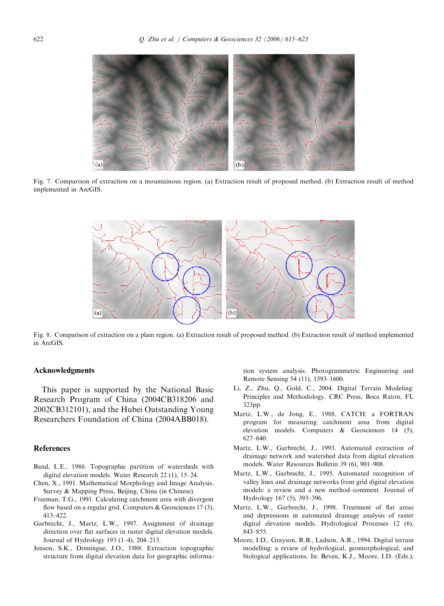<span id="page-7-0"></span>

Fig. 7. Comparison of extraction on a mountainous region. (a) Extraction result of proposed method. (b) Extraction result of method implemented in ArcGIS.



Fig. 8. Comparison of extraction on a plain region. (a) Extraction result of proposed method. (b) Extraction result of method implemented in ArcGIS.

#### Acknowledgments

This paper is supported by the National Basic Research Program of China (2004CB318206 and 2002CB312101), and the Hubei Outstanding Young Researchers Foundation of China (2004ABB018).

### References

- Band, L.E., 1986. Topographic partition of watersheds with digital elevation models. Water Research 22 (1), 15–24.
- Chen, X., 1991. Mathematical Morphology and Image Analysis. Survey & Mapping Press, Beijing, China (in Chinese).
- Freeman, T.G., 1991. Calculating catchment area with divergent flow based on a regular grid. Computers & Geosciences 17(3), 413–422.
- Garbrecht, J., Martz, L.W., 1997. Assignment of drainage direction over flat surfaces in raster digital elevation models. Journal of Hydrology 193 (1–4), 204–213.
- Jenson, S.K., Domingue, J.O., 1988. Extraction topographic structure from digital elevation data for geographic informa-

tion system analysis. Photogrammetric Engineering and Remote Sensing 54 (11), 1593–1600.

- Li, Z., Zhu, Q., Gold, C., 2004. Digital Terrain Modeling: Principles and Methodology. CRC Press, Boca Raton, FL 323pp.
- Martz, L.W., de Jong, E., 1988. CATCH: a FORTRAN program for measuring catchment area from digital elevation models. Computers & Geosciences 14 (5), 627–640.
- Martz, L.W., Garbrecht, J., 1993. Automated extraction of drainage network and watershed data from digital elevation models. Water Resources Bulletin 39 (6), 901–908.
- Martz, L.W., Garbrecht, J., 1995. Automated recognition of valley lines and drainage networks from grid digital elevation models: a review and a new method–comment. Journal of Hydrology 167 (5), 393–396.
- Martz, L.W., Garbrecht, J., 1998. Treatment of flat areas and depressions in automated drainage analysis of raster digital elevation models. Hydrological Processes 12 (6), 843–855.
- Moore, I.D., Grayson, R.B., Ladson, A.R., 1994. Digital terrain modelling: a review of hydrological, geomorphological, and biological applications. In: Beven, K.J., Moore, I.D. (Eds.),